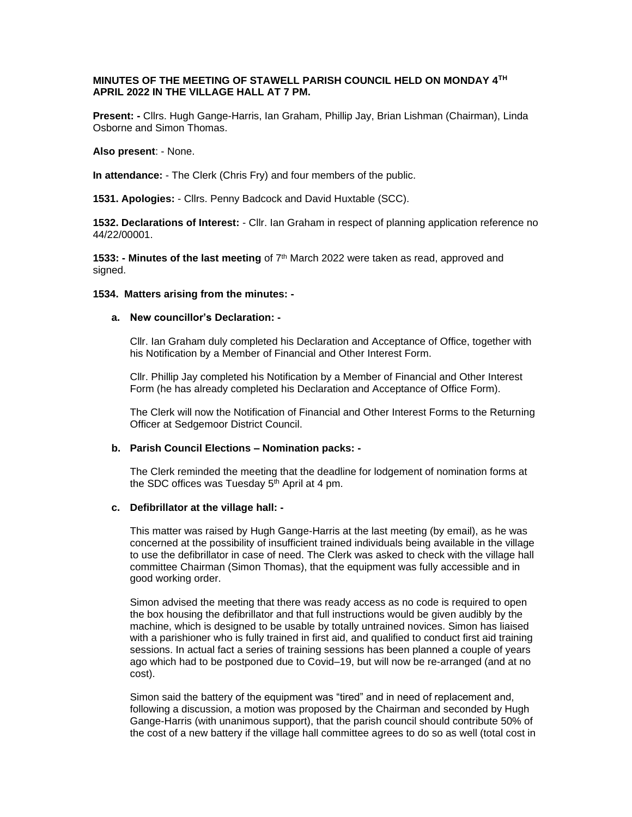## **MINUTES OF THE MEETING OF STAWELL PARISH COUNCIL HELD ON MONDAY 4TH APRIL 2022 IN THE VILLAGE HALL AT 7 PM.**

**Present: -** Cllrs. Hugh Gange-Harris, Ian Graham, Phillip Jay, Brian Lishman (Chairman), Linda Osborne and Simon Thomas.

**Also present**: - None.

**In attendance:** - The Clerk (Chris Fry) and four members of the public.

**1531. Apologies:** - Cllrs. Penny Badcock and David Huxtable (SCC).

**1532. Declarations of Interest:** - Cllr. Ian Graham in respect of planning application reference no 44/22/00001.

**1533: - Minutes of the last meeting** of 7th March 2022 were taken as read, approved and signed.

#### **1534. Matters arising from the minutes: -**

# **a. New councillor's Declaration: -**

Cllr. Ian Graham duly completed his Declaration and Acceptance of Office, together with his Notification by a Member of Financial and Other Interest Form.

Cllr. Phillip Jay completed his Notification by a Member of Financial and Other Interest Form (he has already completed his Declaration and Acceptance of Office Form).

The Clerk will now the Notification of Financial and Other Interest Forms to the Returning Officer at Sedgemoor District Council.

## **b. Parish Council Elections – Nomination packs: -**

The Clerk reminded the meeting that the deadline for lodgement of nomination forms at the SDC offices was Tuesday  $5<sup>th</sup>$  April at 4 pm.

#### **c. Defibrillator at the village hall: -**

This matter was raised by Hugh Gange-Harris at the last meeting (by email), as he was concerned at the possibility of insufficient trained individuals being available in the village to use the defibrillator in case of need. The Clerk was asked to check with the village hall committee Chairman (Simon Thomas), that the equipment was fully accessible and in good working order.

Simon advised the meeting that there was ready access as no code is required to open the box housing the defibrillator and that full instructions would be given audibly by the machine, which is designed to be usable by totally untrained novices. Simon has liaised with a parishioner who is fully trained in first aid, and qualified to conduct first aid training sessions. In actual fact a series of training sessions has been planned a couple of years ago which had to be postponed due to Covid–19, but will now be re-arranged (and at no cost).

Simon said the battery of the equipment was "tired" and in need of replacement and, following a discussion, a motion was proposed by the Chairman and seconded by Hugh Gange-Harris (with unanimous support), that the parish council should contribute 50% of the cost of a new battery if the village hall committee agrees to do so as well (total cost in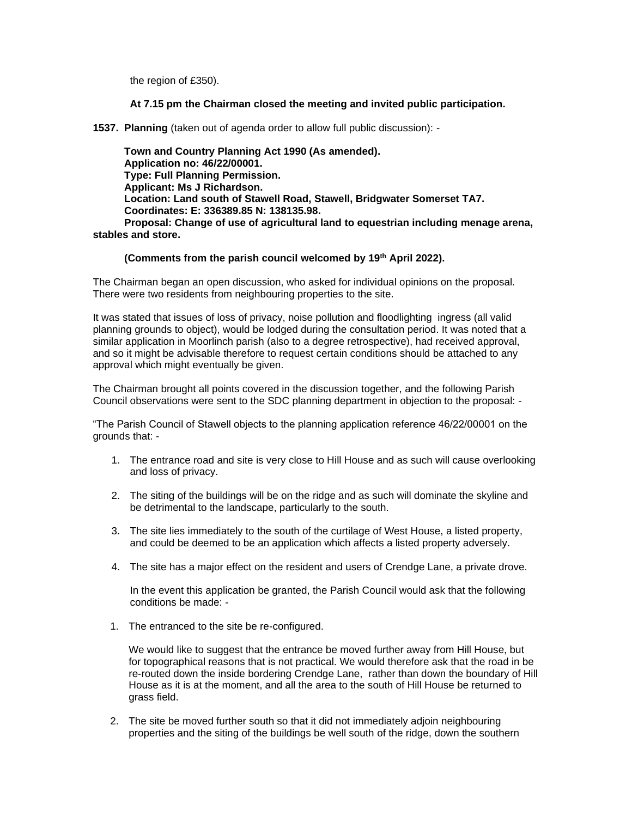the region of £350).

## **At 7.15 pm the Chairman closed the meeting and invited public participation.**

**1537. Planning** (taken out of agenda order to allow full public discussion): -

 **Town and Country Planning Act 1990 (As amended). Application no: 46/22/00001. Type: Full Planning Permission. Applicant: Ms J Richardson. Location: Land south of Stawell Road, Stawell, Bridgwater Somerset TA7. Coordinates: E: 336389.85 N: 138135.98. Proposal: Change of use of agricultural land to equestrian including menage arena, stables and store.**

## **(Comments from the parish council welcomed by 19th April 2022).**

The Chairman began an open discussion, who asked for individual opinions on the proposal. There were two residents from neighbouring properties to the site.

It was stated that issues of loss of privacy, noise pollution and floodlighting ingress (all valid planning grounds to object), would be lodged during the consultation period. It was noted that a similar application in Moorlinch parish (also to a degree retrospective), had received approval, and so it might be advisable therefore to request certain conditions should be attached to any approval which might eventually be given.

The Chairman brought all points covered in the discussion together, and the following Parish Council observations were sent to the SDC planning department in objection to the proposal: -

"The Parish Council of Stawell objects to the planning application reference 46/22/00001 on the grounds that: -

- 1. The entrance road and site is very close to Hill House and as such will cause overlooking and loss of privacy.
- 2. The siting of the buildings will be on the ridge and as such will dominate the skyline and be detrimental to the landscape, particularly to the south.
- 3. The site lies immediately to the south of the curtilage of West House, a listed property, and could be deemed to be an application which affects a listed property adversely.
- 4. The site has a major effect on the resident and users of Crendge Lane, a private drove.

In the event this application be granted, the Parish Council would ask that the following conditions be made: -

1. The entranced to the site be re-configured.

We would like to suggest that the entrance be moved further away from Hill House, but for topographical reasons that is not practical. We would therefore ask that the road in be re-routed down the inside bordering Crendge Lane, rather than down the boundary of Hill House as it is at the moment, and all the area to the south of Hill House be returned to grass field.

2. The site be moved further south so that it did not immediately adjoin neighbouring properties and the siting of the buildings be well south of the ridge, down the southern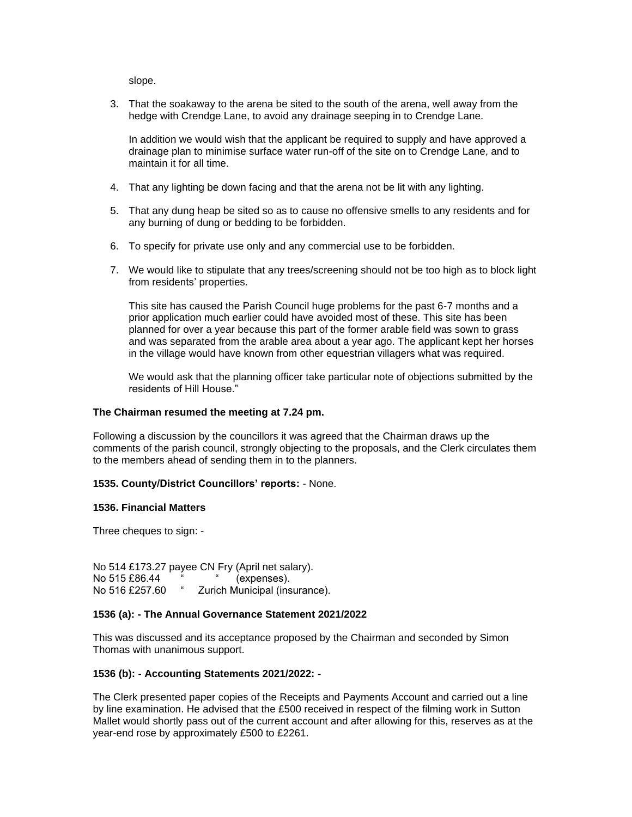slope.

3. That the soakaway to the arena be sited to the south of the arena, well away from the hedge with Crendge Lane, to avoid any drainage seeping in to Crendge Lane.

In addition we would wish that the applicant be required to supply and have approved a drainage plan to minimise surface water run-off of the site on to Crendge Lane, and to maintain it for all time.

- 4. That any lighting be down facing and that the arena not be lit with any lighting.
- 5. That any dung heap be sited so as to cause no offensive smells to any residents and for any burning of dung or bedding to be forbidden.
- 6. To specify for private use only and any commercial use to be forbidden.
- 7. We would like to stipulate that any trees/screening should not be too high as to block light from residents' properties.

This site has caused the Parish Council huge problems for the past 6-7 months and a prior application much earlier could have avoided most of these. This site has been planned for over a year because this part of the former arable field was sown to grass and was separated from the arable area about a year ago. The applicant kept her horses in the village would have known from other equestrian villagers what was required.

We would ask that the planning officer take particular note of objections submitted by the residents of Hill House."

### **The Chairman resumed the meeting at 7.24 pm.**

Following a discussion by the councillors it was agreed that the Chairman draws up the comments of the parish council, strongly objecting to the proposals, and the Clerk circulates them to the members ahead of sending them in to the planners.

## **1535. County/District Councillors' reports:** - None.

#### **1536. Financial Matters**

Three cheques to sign: -

No 514 £173.27 payee CN Fry (April net salary). No 515 £86.44 " (expenses). No 516 £257.60 " Zurich Municipal (insurance).

#### **1536 (a): - The Annual Governance Statement 2021/2022**

This was discussed and its acceptance proposed by the Chairman and seconded by Simon Thomas with unanimous support.

#### **1536 (b): - Accounting Statements 2021/2022: -**

The Clerk presented paper copies of the Receipts and Payments Account and carried out a line by line examination. He advised that the £500 received in respect of the filming work in Sutton Mallet would shortly pass out of the current account and after allowing for this, reserves as at the year-end rose by approximately £500 to £2261.